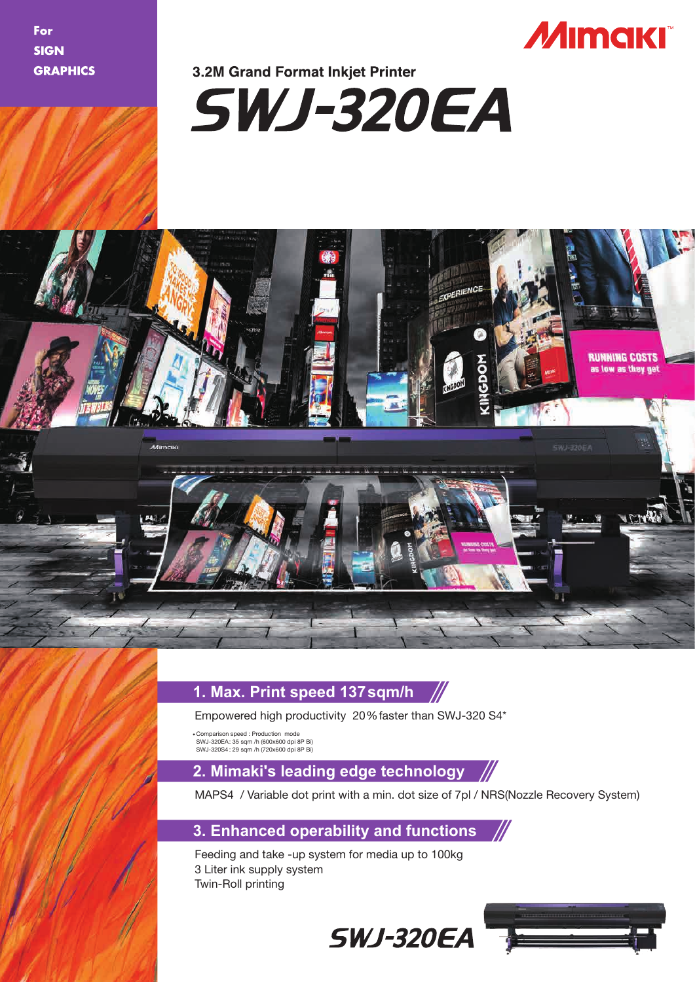For **SIGN GRAPHICS** 



# **3.2M Grand Format Inkiet Printer**





### **1. Max. Print speed 137sqm/h**

Empowered high productivity 20%faster than SWJ-320 S4\*

Comparison speed : Production mode SWJ-320EA: 35 sqm /h (600x600 dpi 8P Bi) SWJ-320S4 : 29 sqm /h (720x600 dpi 8P Bi)

# **2. Mimaki's leading edge technology**

MAPS4 / Variable dot print with a min. dot size of 7pl / NRS(Nozzle Recovery System)

# **3. Enhanced operability and functions**

Feeding and take -up system for media up to 100kg 3 Liter ink supply system Twin-Roll printing